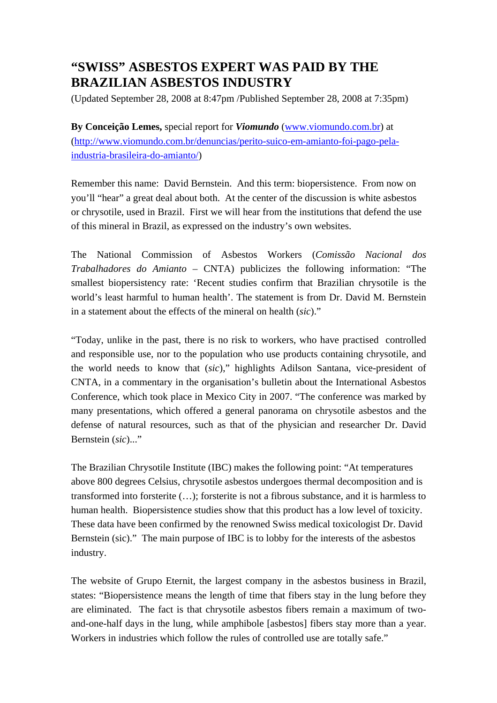# **"SWISS" ASBESTOS EXPERT WAS PAID BY THE BRAZILIAN ASBESTOS INDUSTRY**

(Updated September 28, 2008 at 8:47pm /Published September 28, 2008 at 7:35pm)

**By Conceição Lemes,** special report for *Viomundo* [\(www.viomundo.com.br](http://www.viomundo.com.br/)) at [\(http://www.viomundo.com.br/denuncias/perito-suico-em-amianto-foi-pago-pela](http://www.viomundo.com.br/denuncias/perito-suico-em-amianto-foi-pago-pela-industria-brasileira-do-amianto/)[industria-brasileira-do-amianto/\)](http://www.viomundo.com.br/denuncias/perito-suico-em-amianto-foi-pago-pela-industria-brasileira-do-amianto/)

Remember this name: David Bernstein. And this term: biopersistence. From now on you'll "hear" a great deal about both. At the center of the discussion is white asbestos or chrysotile, used in Brazil. First we will hear from the institutions that defend the use of this mineral in Brazil, as expressed on the industry's own websites.

The National Commission of Asbestos Workers (*Comissão Nacional dos Trabalhadores do Amianto* – CNTA) publicizes the following information: "The smallest biopersistency rate: 'Recent studies confirm that Brazilian chrysotile is the world's least harmful to human health'. The statement is from Dr. David M. Bernstein in a statement about the effects of the mineral on health (*sic*)."

"Today, unlike in the past, there is no risk to workers, who have practised controlled and responsible use, nor to the population who use products containing chrysotile, and the world needs to know that (*sic*)," highlights Adilson Santana, vice-president of CNTA, in a commentary in the organisation's bulletin about the International Asbestos Conference, which took place in Mexico City in 2007. "The conference was marked by many presentations, which offered a general panorama on chrysotile asbestos and the defense of natural resources, such as that of the physician and researcher Dr. David Bernstein (*sic*)..."

The Brazilian Chrysotile Institute (IBC) makes the following point: "At temperatures above 800 degrees Celsius, chrysotile asbestos undergoes thermal decomposition and is transformed into forsterite (…); forsterite is not a fibrous substance, and it is harmless to human health. Biopersistence studies show that this product has a low level of toxicity. These data have been confirmed by the renowned Swiss medical toxicologist Dr. David Bernstein (sic)." The main purpose of IBC is to lobby for the interests of the asbestos industry.

The website of Grupo Eternit, the largest company in the asbestos business in Brazil, states: "Biopersistence means the length of time that fibers stay in the lung before they are eliminated. The fact is that chrysotile asbestos fibers remain a maximum of twoand-one-half days in the lung, while amphibole [asbestos] fibers stay more than a year. Workers in industries which follow the rules of controlled use are totally safe."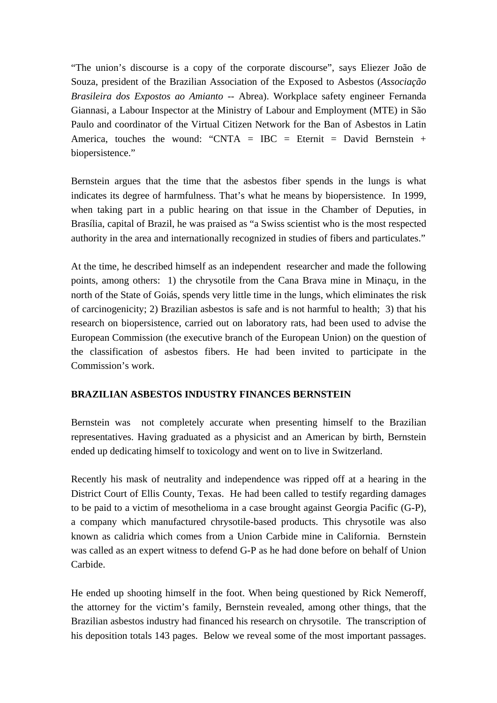"The union's discourse is a copy of the corporate discourse", says Eliezer João de Souza, president of the Brazilian Association of the Exposed to Asbestos (*Associação Brasileira dos Expostos ao Amianto* -- Abrea). Workplace safety engineer Fernanda Giannasi, a Labour Inspector at the Ministry of Labour and Employment (MTE) in São Paulo and coordinator of the Virtual Citizen Network for the Ban of Asbestos in Latin America, touches the wound: "CNTA = IBC = Eternit = David Bernstein + biopersistence."

Bernstein argues that the time that the asbestos fiber spends in the lungs is what indicates its degree of harmfulness. That's what he means by biopersistence. In 1999, when taking part in a public hearing on that issue in the Chamber of Deputies, in Brasília, capital of Brazil, he was praised as "a Swiss scientist who is the most respected authority in the area and internationally recognized in studies of fibers and particulates."

At the time, he described himself as an independent researcher and made the following points, among others: 1) the chrysotile from the Cana Brava mine in Minaçu, in the north of the State of Goiás, spends very little time in the lungs, which eliminates the risk of carcinogenicity; 2) Brazilian asbestos is safe and is not harmful to health; 3) that his research on biopersistence, carried out on laboratory rats, had been used to advise the European Commission (the executive branch of the European Union) on the question of the classification of asbestos fibers. He had been invited to participate in the Commission's work.

#### **BRAZILIAN ASBESTOS INDUSTRY FINANCES BERNSTEIN**

Bernstein was not completely accurate when presenting himself to the Brazilian representatives. Having graduated as a physicist and an American by birth, Bernstein ended up dedicating himself to toxicology and went on to live in Switzerland.

Recently his mask of neutrality and independence was ripped off at a hearing in the District Court of Ellis County, Texas. He had been called to testify regarding damages to be paid to a victim of mesothelioma in a case brought against Georgia Pacific (G-P), a company which manufactured chrysotile-based products. This chrysotile was also known as calidria which comes from a Union Carbide mine in California. Bernstein was called as an expert witness to defend G-P as he had done before on behalf of Union Carbide.

He ended up shooting himself in the foot. When being questioned by Rick Nemeroff, the attorney for the victim's family, Bernstein revealed, among other things, that the Brazilian asbestos industry had financed his research on chrysotile. The transcription of his deposition totals 143 pages. Below we reveal some of the most important passages.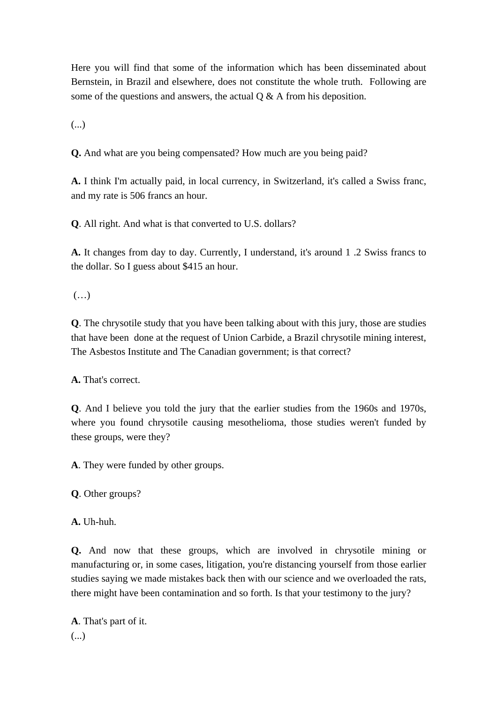Here you will find that some of the information which has been disseminated about Bernstein, in Brazil and elsewhere, does not constitute the whole truth. Following are some of the questions and answers, the actual  $\overline{O} \& A$  from his deposition.

(...)

**Q.** And what are you being compensated? How much are you being paid?

**A.** I think I'm actually paid, in local currency, in Switzerland, it's called a Swiss franc, and my rate is 506 francs an hour.

**Q**. All right. And what is that converted to U.S. dollars?

**A.** It changes from day to day. Currently, I understand, it's around 1 .2 Swiss francs to the dollar. So I guess about \$415 an hour.

 $(\ldots)$ 

**Q**. The chrysotile study that you have been talking about with this jury, those are studies that have been done at the request of Union Carbide, a Brazil chrysotile mining interest, The Asbestos Institute and The Canadian government; is that correct?

**A.** That's correct.

**Q**. And I believe you told the jury that the earlier studies from the 1960s and 1970s, where you found chrysotile causing mesothelioma, those studies weren't funded by these groups, were they?

**A**. They were funded by other groups.

**Q**. Other groups?

**A.** Uh-huh.

**Q.** And now that these groups, which are involved in chrysotile mining or manufacturing or, in some cases, litigation, you're distancing yourself from those earlier studies saying we made mistakes back then with our science and we overloaded the rats, there might have been contamination and so forth. Is that your testimony to the jury?

**A**. That's part of it. (...)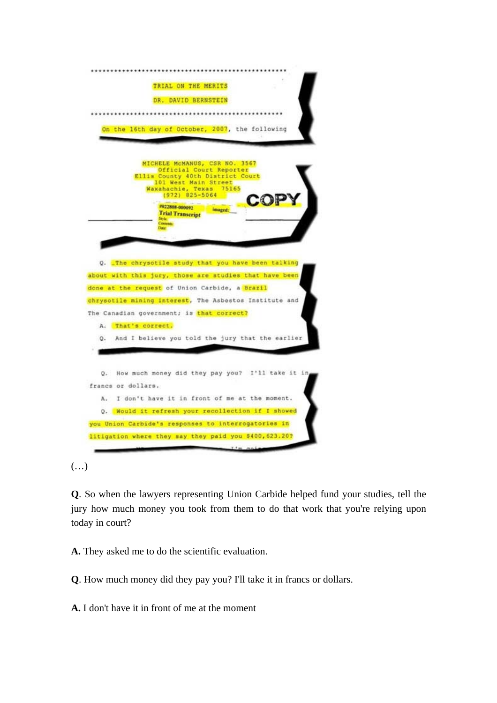

 $(\ldots)$ 

**Q**. So when the lawyers representing Union Carbide helped fund your studies, tell the jury how much money you took from them to do that work that you're relying upon today in court?

**A.** They asked me to do the scientific evaluation.

**Q**. How much money did they pay you? I'll take it in francs or dollars.

**A.** I don't have it in front of me at the moment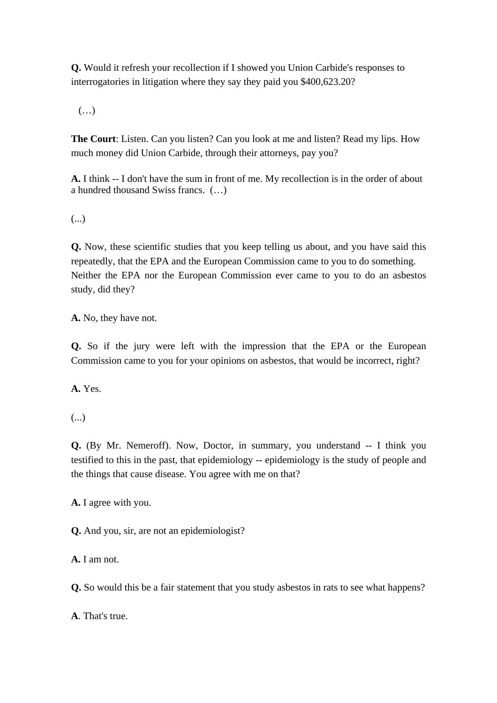**Q.** Would it refresh your recollection if I showed you Union Carbide's responses to interrogatories in litigation where they say they paid you \$400,623.20?

 $(\ldots)$ 

**The Court**: Listen. Can you listen? Can you look at me and listen? Read my lips. How much money did Union Carbide, through their attorneys, pay you?

**A.** I think -- I don't have the sum in front of me. My recollection is in the order of about a hundred thousand Swiss francs. (…)

(...)

**Q.** Now, these scientific studies that you keep telling us about, and you have said this repeatedly, that the EPA and the European Commission came to you to do something. Neither the EPA nor the European Commission ever came to you to do an asbestos study, did they?

**A.** No, they have not.

**Q.** So if the jury were left with the impression that the EPA or the European Commission came to you for your opinions on asbestos, that would be incorrect, right?

**A.** Yes.

(...)

**Q.** (By Mr. Nemeroff). Now, Doctor, in summary, you understand -- I think you testified to this in the past, that epidemiology -- epidemiology is the study of people and the things that cause disease. You agree with me on that?

**A.** I agree with you.

**Q.** And you, sir, are not an epidemiologist?

**A.** I am not.

**Q.** So would this be a fair statement that you study asbestos in rats to see what happens?

**A**. That's true.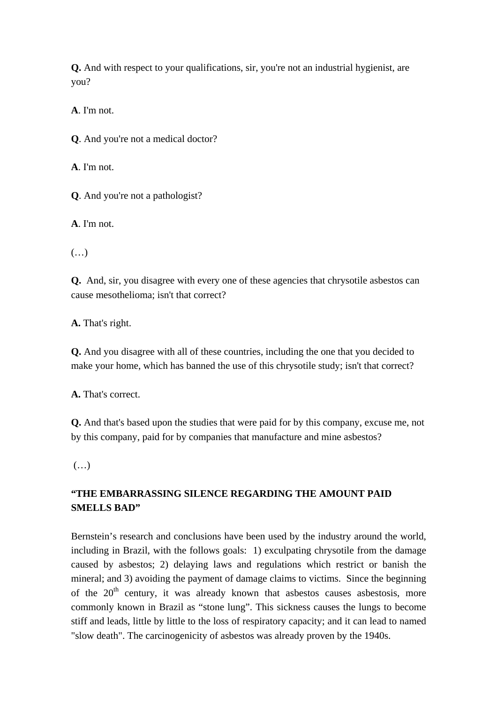**Q.** And with respect to your qualifications, sir, you're not an industrial hygienist, are you?

**A**. I'm not.

**Q**. And you're not a medical doctor?

**A**. I'm not.

**Q**. And you're not a pathologist?

**A**. I'm not.

(…)

**Q.** And, sir, you disagree with every one of these agencies that chrysotile asbestos can cause mesothelioma; isn't that correct?

**A.** That's right.

**Q.** And you disagree with all of these countries, including the one that you decided to make your home, which has banned the use of this chrysotile study; isn't that correct?

**A.** That's correct.

**Q.** And that's based upon the studies that were paid for by this company, excuse me, not by this company, paid for by companies that manufacture and mine asbestos?

(…)

# **"THE EMBARRASSING SILENCE REGARDING THE AMOUNT PAID SMELLS BAD"**

Bernstein's research and conclusions have been used by the industry around the world, including in Brazil, with the follows goals: 1) exculpating chrysotile from the damage caused by asbestos; 2) delaying laws and regulations which restrict or banish the mineral; and 3) avoiding the payment of damage claims to victims. Since the beginning of the  $20<sup>th</sup>$  century, it was already known that asbestos causes asbestosis, more commonly known in Brazil as "stone lung". This sickness causes the lungs to become stiff and leads, little by little to the loss of respiratory capacity; and it can lead to named "slow death". The carcinogenicity of asbestos was already proven by the 1940s.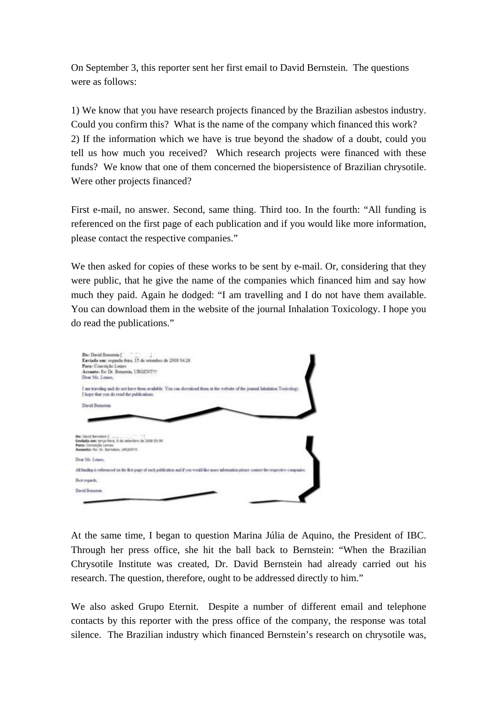On September 3, this reporter sent her first email to David Bernstein. The questions were as follows:

1) We know that you have research projects financed by the Brazilian asbestos industry. Could you confirm this? What is the name of the company which financed this work? 2) If the information which we have is true beyond the shadow of a doubt, could you tell us how much you received? Which research projects were financed with these funds? We know that one of them concerned the biopersistence of Brazilian chrysotile. Were other projects financed?

First e-mail, no answer. Second, same thing. Third too. In the fourth: "All funding is referenced on the first page of each publication and if you would like more information, please contact the respective companies."

We then asked for copies of these works to be sent by e-mail. Or, considering that they were public, that he give the name of the companies which financed him and say how much they paid. Again he dodged: "I am travelling and I do not have them available. You can download them in the website of the journal Inhalation Toxicology. I hope you do read the publications."



At the same time, I began to question Marina Júlia de Aquino, the President of IBC. Through her press office, she hit the ball back to Bernstein: "When the Brazilian Chrysotile Institute was created, Dr. David Bernstein had already carried out his research. The question, therefore, ought to be addressed directly to him."

We also asked Grupo Eternit. Despite a number of different email and telephone contacts by this reporter with the press office of the company, the response was total silence. The Brazilian industry which financed Bernstein's research on chrysotile was,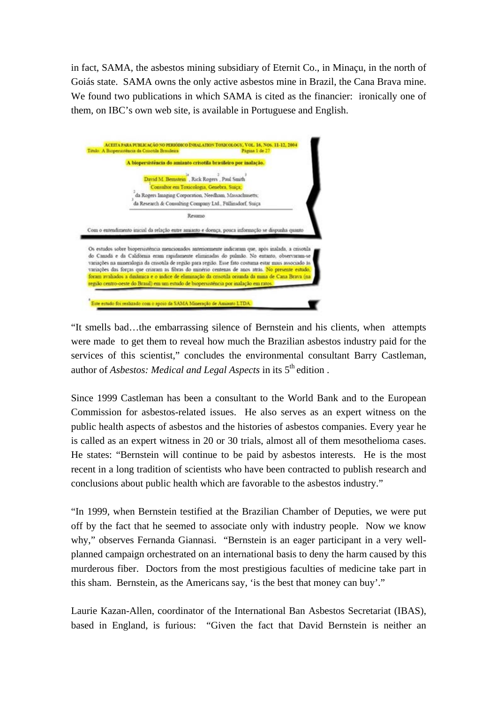in fact, SAMA, the asbestos mining subsidiary of Eternit Co., in Minaçu, in the north of Goiás state. SAMA owns the only active asbestos mine in Brazil, the Cana Brava mine. We found two publications in which SAMA is cited as the financier: ironically one of them, on IBC's own web site, is available in Portuguese and English.



"It smells bad…the embarrassing silence of Bernstein and his clients, when attempts were made to get them to reveal how much the Brazilian asbestos industry paid for the services of this scientist," concludes the environmental consultant Barry Castleman, author of *Asbestos: Medical and Legal Aspects* in its 5<sup>th</sup> edition.

Since 1999 Castleman has been a consultant to the World Bank and to the European Commission for asbestos-related issues. He also serves as an expert witness on the public health aspects of asbestos and the histories of asbestos companies. Every year he is called as an expert witness in 20 or 30 trials, almost all of them mesothelioma cases. He states: "Bernstein will continue to be paid by asbestos interests. He is the most recent in a long tradition of scientists who have been contracted to publish research and conclusions about public health which are favorable to the asbestos industry."

"In 1999, when Bernstein testified at the Brazilian Chamber of Deputies, we were put off by the fact that he seemed to associate only with industry people. Now we know why," observes Fernanda Giannasi. "Bernstein is an eager participant in a very wellplanned campaign orchestrated on an international basis to deny the harm caused by this murderous fiber. Doctors from the most prestigious faculties of medicine take part in this sham. Bernstein, as the Americans say, 'is the best that money can buy'."

Laurie Kazan-Allen, coordinator of the International Ban Asbestos Secretariat (IBAS), based in England, is furious: "Given the fact that David Bernstein is neither an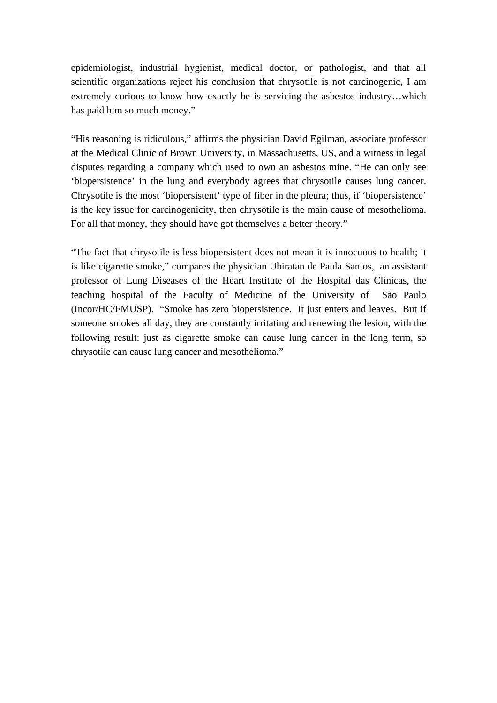epidemiologist, industrial hygienist, medical doctor, or pathologist, and that all scientific organizations reject his conclusion that chrysotile is not carcinogenic, I am extremely curious to know how exactly he is servicing the asbestos industry…which has paid him so much money."

"His reasoning is ridiculous," affirms the physician David Egilman, associate professor at the Medical Clinic of Brown University, in Massachusetts, US, and a witness in legal disputes regarding a company which used to own an asbestos mine. "He can only see 'biopersistence' in the lung and everybody agrees that chrysotile causes lung cancer. Chrysotile is the most 'biopersistent' type of fiber in the pleura; thus, if 'biopersistence' is the key issue for carcinogenicity, then chrysotile is the main cause of mesothelioma. For all that money, they should have got themselves a better theory."

"The fact that chrysotile is less biopersistent does not mean it is innocuous to health; it is like cigarette smoke," compares the physician Ubiratan de Paula Santos, an assistant professor of Lung Diseases of the Heart Institute of the Hospital das Clínicas, the teaching hospital of the Faculty of Medicine of the University of São Paulo (Incor/HC/FMUSP). "Smoke has zero biopersistence. It just enters and leaves. But if someone smokes all day, they are constantly irritating and renewing the lesion, with the following result: just as cigarette smoke can cause lung cancer in the long term, so chrysotile can cause lung cancer and mesothelioma."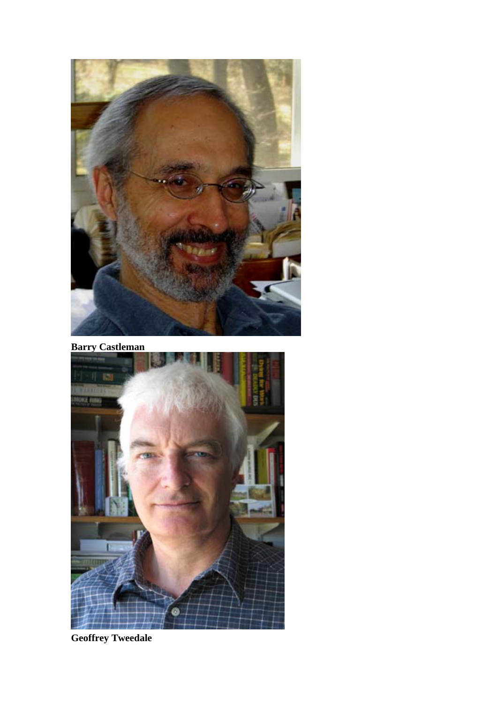

**Barry Castleman** 



**Geoffrey Tweedale**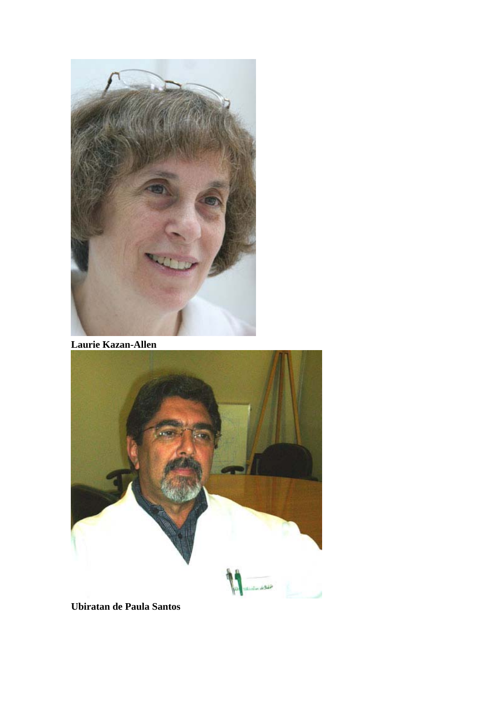

**Laurie Kazan-Allen**



**Ubiratan de Paula Santos**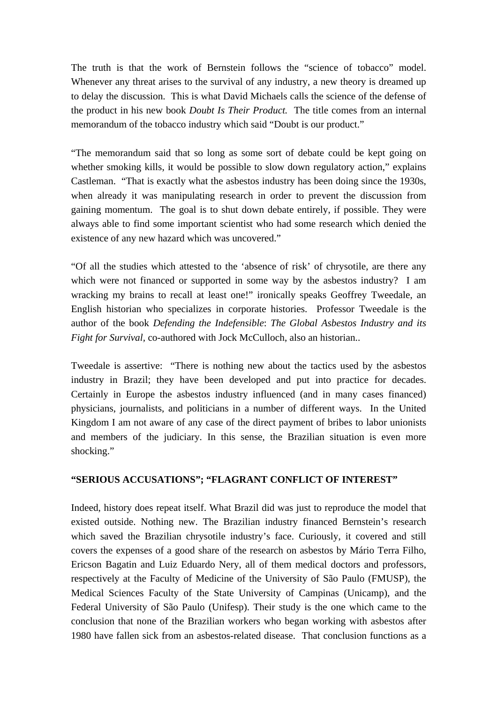The truth is that the work of Bernstein follows the "science of tobacco" model. Whenever any threat arises to the survival of any industry, a new theory is dreamed up to delay the discussion. This is what David Michaels calls the science of the defense of the product in his new book *Doubt Is Their Product.* The title comes from an internal memorandum of the tobacco industry which said "Doubt is our product."

"The memorandum said that so long as some sort of debate could be kept going on whether smoking kills, it would be possible to slow down regulatory action," explains Castleman. "That is exactly what the asbestos industry has been doing since the 1930s, when already it was manipulating research in order to prevent the discussion from gaining momentum. The goal is to shut down debate entirely, if possible. They were always able to find some important scientist who had some research which denied the existence of any new hazard which was uncovered."

"Of all the studies which attested to the 'absence of risk' of chrysotile, are there any which were not financed or supported in some way by the asbestos industry? I am wracking my brains to recall at least one!" ironically speaks Geoffrey Tweedale, an English historian who specializes in corporate histories. Professor Tweedale is the author of the book *Defending the Indefensible*: *The Global Asbestos Industry and its Fight for Survival,* co-authored with Jock McCulloch, also an historian..

Tweedale is assertive: "There is nothing new about the tactics used by the asbestos industry in Brazil; they have been developed and put into practice for decades. Certainly in Europe the asbestos industry influenced (and in many cases financed) physicians, journalists, and politicians in a number of different ways. In the United Kingdom I am not aware of any case of the direct payment of bribes to labor unionists and members of the judiciary. In this sense, the Brazilian situation is even more shocking."

#### **"SERIOUS ACCUSATIONS"; "FLAGRANT CONFLICT OF INTEREST"**

Indeed, history does repeat itself. What Brazil did was just to reproduce the model that existed outside. Nothing new. The Brazilian industry financed Bernstein's research which saved the Brazilian chrysotile industry's face. Curiously, it covered and still covers the expenses of a good share of the research on asbestos by Mário Terra Filho, Ericson Bagatin and Luiz Eduardo Nery, all of them medical doctors and professors, respectively at the Faculty of Medicine of the University of São Paulo (FMUSP), the Medical Sciences Faculty of the State University of Campinas (Unicamp), and the Federal University of São Paulo (Unifesp). Their study is the one which came to the conclusion that none of the Brazilian workers who began working with asbestos after 1980 have fallen sick from an asbestos-related disease. That conclusion functions as a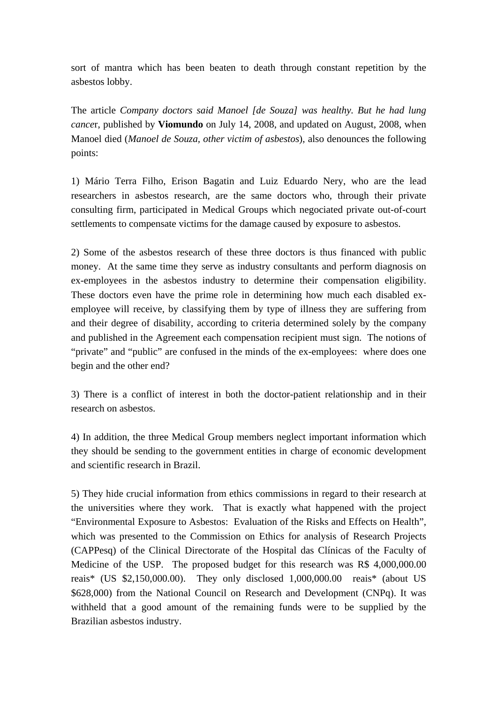sort of mantra which has been beaten to death through constant repetition by the asbestos lobby.

The article *Company doctors said Manoel [de Souza] was healthy. But he had lung cance*r, published by **Viomundo** on July 14, 2008, and updated on August, 2008, when Manoel died (*Manoel de Souza, other victim of asbestos*), also denounces the following points:

1) Mário Terra Filho, Erison Bagatin and Luiz Eduardo Nery, who are the lead researchers in asbestos research, are the same doctors who, through their private consulting firm, participated in Medical Groups which negociated private out-of-court settlements to compensate victims for the damage caused by exposure to asbestos.

2) Some of the asbestos research of these three doctors is thus financed with public money. At the same time they serve as industry consultants and perform diagnosis on ex-employees in the asbestos industry to determine their compensation eligibility. These doctors even have the prime role in determining how much each disabled exemployee will receive, by classifying them by type of illness they are suffering from and their degree of disability, according to criteria determined solely by the company and published in the Agreement each compensation recipient must sign. The notions of "private" and "public" are confused in the minds of the ex-employees: where does one begin and the other end?

3) There is a conflict of interest in both the doctor-patient relationship and in their research on asbestos.

4) In addition, the three Medical Group members neglect important information which they should be sending to the government entities in charge of economic development and scientific research in Brazil.

5) They hide crucial information from ethics commissions in regard to their research at the universities where they work. That is exactly what happened with the project "Environmental Exposure to Asbestos: Evaluation of the Risks and Effects on Health", which was presented to the Commission on Ethics for analysis of Research Projects (CAPPesq) of the Clinical Directorate of the Hospital das Clínicas of the Faculty of Medicine of the USP. The proposed budget for this research was R\$ 4,000,000.00 reais\* (US \$2,150,000.00). They only disclosed 1,000,000.00 reais\* (about US \$628,000) from the National Council on Research and Development (CNPq). It was withheld that a good amount of the remaining funds were to be supplied by the Brazilian asbestos industry.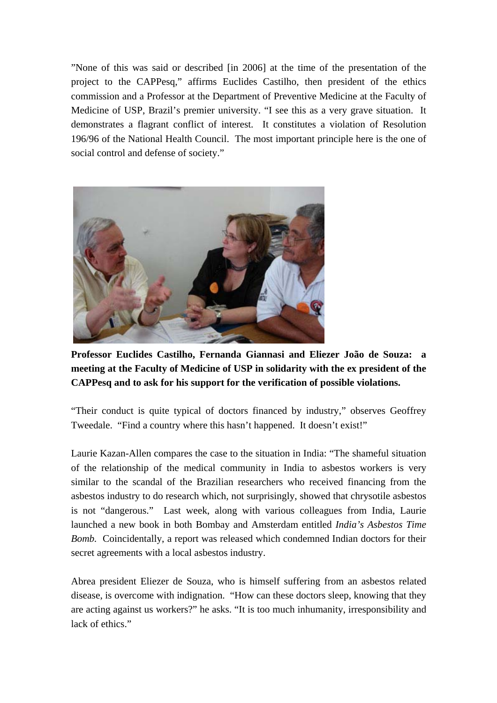"None of this was said or described [in 2006] at the time of the presentation of the project to the CAPPesq," affirms Euclides Castilho, then president of the ethics commission and a Professor at the Department of Preventive Medicine at the Faculty of Medicine of USP, Brazil's premier university. "I see this as a very grave situation. It demonstrates a flagrant conflict of interest. It constitutes a violation of Resolution 196/96 of the National Health Council. The most important principle here is the one of social control and defense of society."



**Professor Euclides Castilho, Fernanda Giannasi and Eliezer João de Souza: a meeting at the Faculty of Medicine of USP in solidarity with the ex president of the CAPPesq and to ask for his support for the verification of possible violations.** 

"Their conduct is quite typical of doctors financed by industry," observes Geoffrey Tweedale. "Find a country where this hasn't happened. It doesn't exist!"

Laurie Kazan-Allen compares the case to the situation in India: "The shameful situation of the relationship of the medical community in India to asbestos workers is very similar to the scandal of the Brazilian researchers who received financing from the asbestos industry to do research which, not surprisingly, showed that chrysotile asbestos is not "dangerous." Last week, along with various colleagues from India, Laurie launched a new book in both Bombay and Amsterdam entitled *India's Asbestos Time Bomb.* Coincidentally, a report was released which condemned Indian doctors for their secret agreements with a local asbestos industry.

Abrea president Eliezer de Souza, who is himself suffering from an asbestos related disease, is overcome with indignation. "How can these doctors sleep, knowing that they are acting against us workers?" he asks. "It is too much inhumanity, irresponsibility and lack of ethics."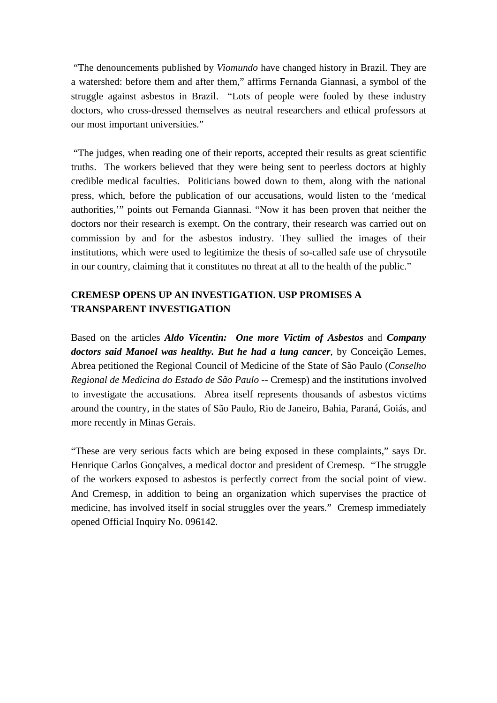"The denouncements published by *Viomundo* have changed history in Brazil. They are a watershed: before them and after them," affirms Fernanda Giannasi, a symbol of the struggle against asbestos in Brazil. "Lots of people were fooled by these industry doctors, who cross-dressed themselves as neutral researchers and ethical professors at our most important universities."

 "The judges, when reading one of their reports, accepted their results as great scientific truths. The workers believed that they were being sent to peerless doctors at highly credible medical faculties. Politicians bowed down to them, along with the national press, which, before the publication of our accusations, would listen to the 'medical authorities,'" points out Fernanda Giannasi. "Now it has been proven that neither the doctors nor their research is exempt. On the contrary, their research was carried out on commission by and for the asbestos industry. They sullied the images of their institutions, which were used to legitimize the thesis of so-called safe use of chrysotile in our country, claiming that it constitutes no threat at all to the health of the public."

## **CREMESP OPENS UP AN INVESTIGATION. USP PROMISES A TRANSPARENT INVESTIGATION**

Based on the articles *Aldo Vicentin: One more Victim of Asbestos* and *Company doctors said Manoel was healthy. But he had a lung cancer*, by Conceição Lemes, Abrea petitioned the Regional Council of Medicine of the State of São Paulo (*Conselho Regional de Medicina do Estado de São Paulo* -- Cremesp) and the institutions involved to investigate the accusations. Abrea itself represents thousands of asbestos victims around the country, in the states of São Paulo, Rio de Janeiro, Bahia, Paraná, Goiás, and more recently in Minas Gerais.

"These are very serious facts which are being exposed in these complaints," says Dr. Henrique Carlos Gonçalves, a medical doctor and president of Cremesp. "The struggle of the workers exposed to asbestos is perfectly correct from the social point of view. And Cremesp, in addition to being an organization which supervises the practice of medicine, has involved itself in social struggles over the years." Cremesp immediately opened Official Inquiry No. 096142.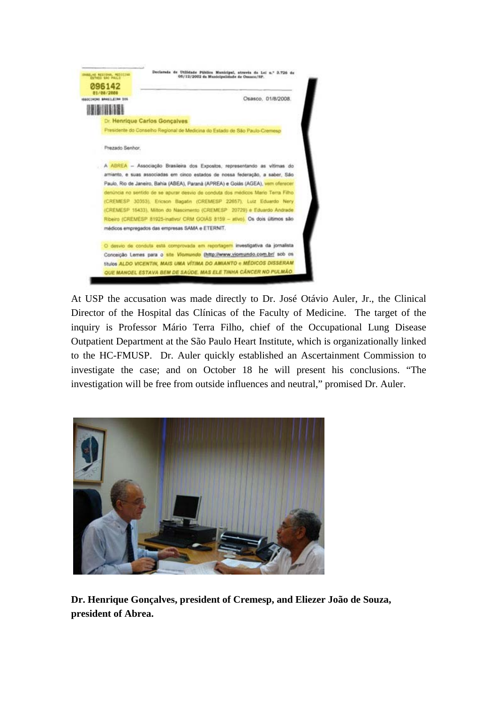

At USP the accusation was made directly to Dr. José Otávio Auler, Jr., the Clinical Director of the Hospital das Clínicas of the Faculty of Medicine. The target of the inquiry is Professor Mário Terra Filho, chief of the Occupational Lung Disease Outpatient Department at the São Paulo Heart Institute, which is organizationally linked to the HC-FMUSP. Dr. Auler quickly established an Ascertainment Commission to investigate the case; and on October 18 he will present his conclusions. "The investigation will be free from outside influences and neutral," promised Dr. Auler.



**Dr. Henrique Gonçalves, president of Cremesp, and Eliezer João de Souza, president of Abrea.**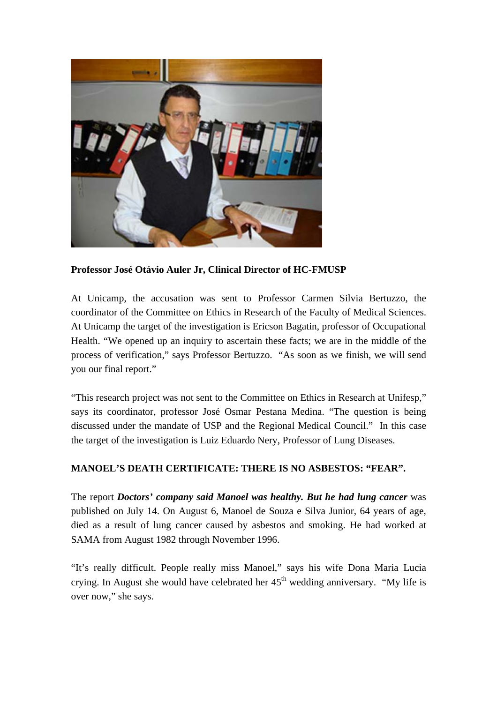

**Professor José Otávio Auler Jr, Clinical Director of HC-FMUSP** 

At Unicamp, the accusation was sent to Professor Carmen Silvia Bertuzzo, the coordinator of the Committee on Ethics in Research of the Faculty of Medical Sciences. At Unicamp the target of the investigation is Ericson Bagatin, professor of Occupational Health. "We opened up an inquiry to ascertain these facts; we are in the middle of the process of verification," says Professor Bertuzzo. "As soon as we finish, we will send you our final report."

"This research project was not sent to the Committee on Ethics in Research at Unifesp," says its coordinator, professor José Osmar Pestana Medina. "The question is being discussed under the mandate of USP and the Regional Medical Council." In this case the target of the investigation is Luiz Eduardo Nery, Professor of Lung Diseases.

## **MANOEL'S DEATH CERTIFICATE: THERE IS NO ASBESTOS: "FEAR".**

The report *Doctors' company said Manoel was healthy. But he had lung cancer* was published on July 14. On August 6, Manoel de Souza e Silva Junior, 64 years of age, died as a result of lung cancer caused by asbestos and smoking. He had worked at SAMA from August 1982 through November 1996.

"It's really difficult. People really miss Manoel," says his wife Dona Maria Lucia crying. In August she would have celebrated her  $45<sup>th</sup>$  wedding anniversary. "My life is over now," she says.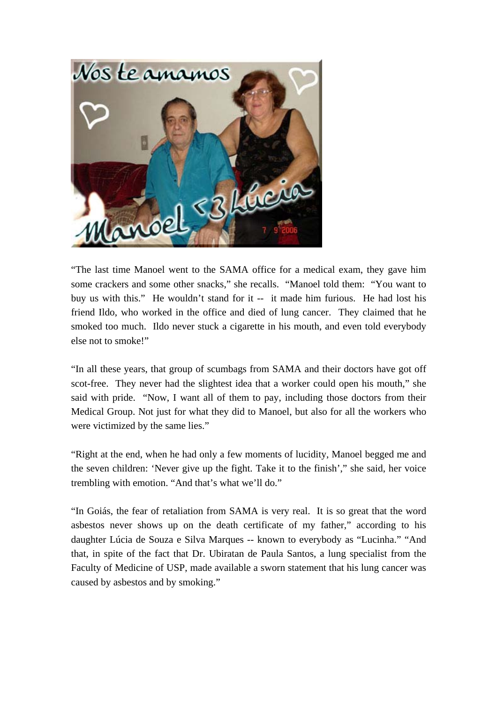

"The last time Manoel went to the SAMA office for a medical exam, they gave him some crackers and some other snacks," she recalls. "Manoel told them: "You want to buy us with this." He wouldn't stand for it -- it made him furious. He had lost his friend Ildo, who worked in the office and died of lung cancer. They claimed that he smoked too much. Ildo never stuck a cigarette in his mouth, and even told everybody else not to smoke!"

"In all these years, that group of scumbags from SAMA and their doctors have got off scot-free. They never had the slightest idea that a worker could open his mouth," she said with pride. "Now, I want all of them to pay, including those doctors from their Medical Group. Not just for what they did to Manoel, but also for all the workers who were victimized by the same lies."

"Right at the end, when he had only a few moments of lucidity, Manoel begged me and the seven children: 'Never give up the fight. Take it to the finish'," she said, her voice trembling with emotion. "And that's what we'll do."

"In Goiás, the fear of retaliation from SAMA is very real. It is so great that the word asbestos never shows up on the death certificate of my father," according to his daughter Lúcia de Souza e Silva Marques -- known to everybody as "Lucinha." "And that, in spite of the fact that Dr. Ubiratan de Paula Santos, a lung specialist from the Faculty of Medicine of USP, made available a sworn statement that his lung cancer was caused by asbestos and by smoking."